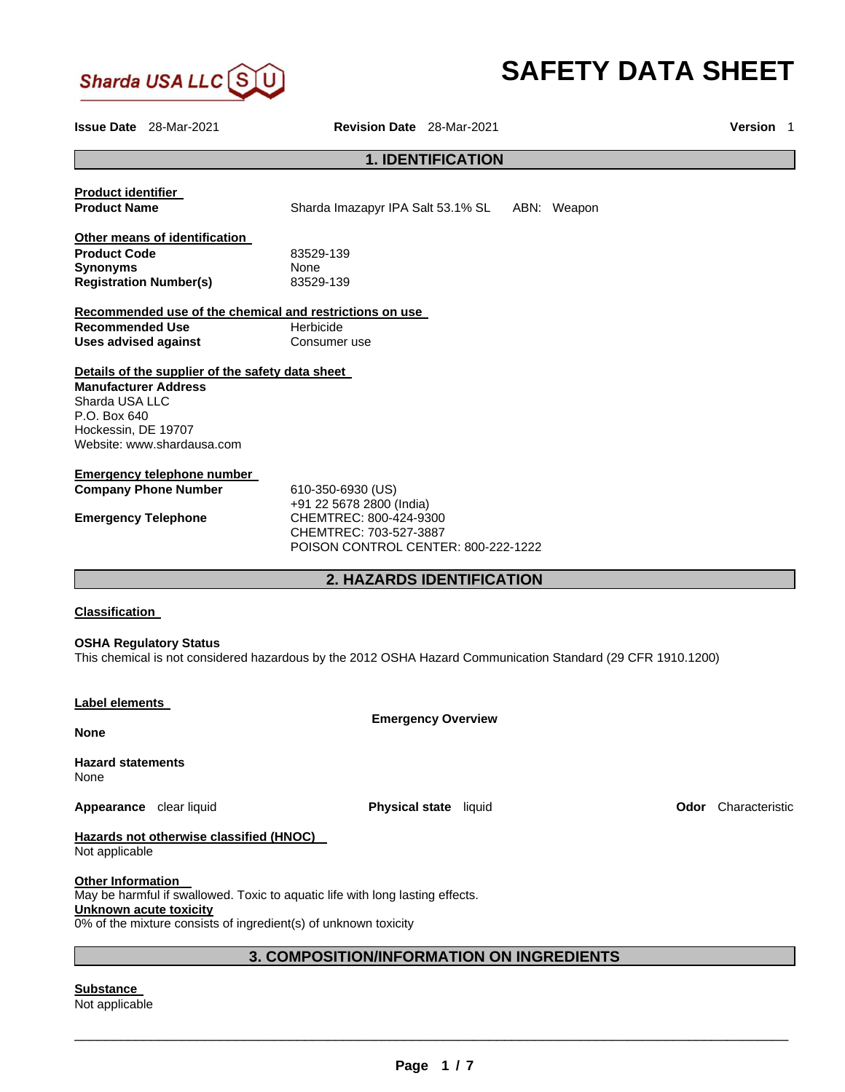

# **SAFETY DATA SHEET**

**Issue Date** 28-Mar-2021 **Revision Date** 28-Mar-2021 **Version** 1 **1. IDENTIFICATION Product identifier Product Name Sharda Imazapyr IPA Salt 53.1% SL ABN: Weapon Other means of identification Product Code 23529-139 Synonyms** None None<br> **Registration Number(s)** 83529-139 **Registration Number(s) Recommended use of the chemical and restrictions on use Recommended Use Merbicide Uses advised against <b>Consumer** use **Details of the supplier of the safety data sheet Manufacturer Address** Sharda USA LLC P.O. Box 640 Hockessin, DE 19707 Website: www.shardausa.com **Emergency telephone number Company Phone Number** 610-350-6930 (US) +91 22 5678 2800 (India) **Emergency Telephone** CHEMTREC: 800-424-9300 CHEMTREC: 703-527-3887 POISON CONTROL CENTER: 800-222-1222 **2. HAZARDS IDENTIFICATION Classification OSHA Regulatory Status** This chemical is not considered hazardous by the 2012 OSHA Hazard Communication Standard (29 CFR 1910.1200) **Label elements Emergency Overview None Hazard statements** None **Appearance** clear liquid **Physical state** liquid **Odor** Characteristic **Hazards not otherwise classified (HNOC)**  Not applicable **Other Information**  May be harmful if swallowed. Toxic to aquatic life with long lasting effects. **Unknown acute toxicity** 0% of the mixture consists of ingredient(s) of unknown toxicity **3. COMPOSITION/INFORMATION ON INGREDIENTS** 

**Substance**  Not applicable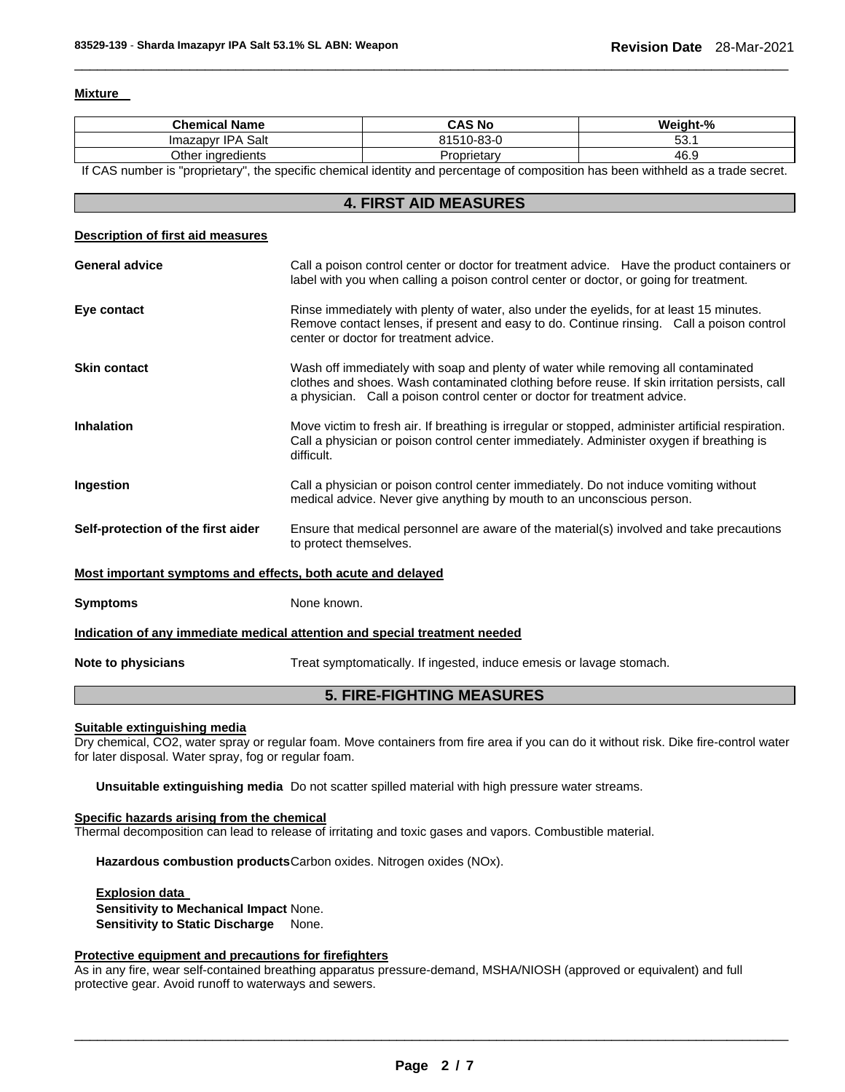## **Mixture**

| <b>Chemical Name</b>                                                                                                              |                                                                                                                                                                                                                                                                  | <b>CAS No</b>                                                                                                                                                   | Weight-% |  |  |
|-----------------------------------------------------------------------------------------------------------------------------------|------------------------------------------------------------------------------------------------------------------------------------------------------------------------------------------------------------------------------------------------------------------|-----------------------------------------------------------------------------------------------------------------------------------------------------------------|----------|--|--|
| Imazapyr IPA Salt                                                                                                                 |                                                                                                                                                                                                                                                                  | 81510-83-0                                                                                                                                                      | 53.1     |  |  |
| Other ingredients                                                                                                                 |                                                                                                                                                                                                                                                                  | Proprietary                                                                                                                                                     | 46.9     |  |  |
| If CAS number is "proprietary", the specific chemical identity and percentage of composition has been withheld as a trade secret. |                                                                                                                                                                                                                                                                  |                                                                                                                                                                 |          |  |  |
|                                                                                                                                   |                                                                                                                                                                                                                                                                  | <b>4. FIRST AID MEASURES</b>                                                                                                                                    |          |  |  |
| <b>Description of first aid measures</b>                                                                                          |                                                                                                                                                                                                                                                                  |                                                                                                                                                                 |          |  |  |
| <b>General advice</b>                                                                                                             | Call a poison control center or doctor for treatment advice. Have the product containers or<br>label with you when calling a poison control center or doctor, or going for treatment.                                                                            |                                                                                                                                                                 |          |  |  |
| Eye contact                                                                                                                       | Rinse immediately with plenty of water, also under the eyelids, for at least 15 minutes.<br>Remove contact lenses, if present and easy to do. Continue rinsing. Call a poison control<br>center or doctor for treatment advice.                                  |                                                                                                                                                                 |          |  |  |
| <b>Skin contact</b>                                                                                                               | Wash off immediately with soap and plenty of water while removing all contaminated<br>clothes and shoes. Wash contaminated clothing before reuse. If skin irritation persists, call<br>a physician. Call a poison control center or doctor for treatment advice. |                                                                                                                                                                 |          |  |  |
| <b>Inhalation</b>                                                                                                                 | Move victim to fresh air. If breathing is irregular or stopped, administer artificial respiration.<br>Call a physician or poison control center immediately. Administer oxygen if breathing is<br>difficult.                                                     |                                                                                                                                                                 |          |  |  |
| Ingestion                                                                                                                         |                                                                                                                                                                                                                                                                  | Call a physician or poison control center immediately. Do not induce vomiting without<br>medical advice. Never give anything by mouth to an unconscious person. |          |  |  |
| Self-protection of the first aider                                                                                                | Ensure that medical personnel are aware of the material(s) involved and take precautions<br>to protect themselves.                                                                                                                                               |                                                                                                                                                                 |          |  |  |
| Most important symptoms and effects, both acute and delayed                                                                       |                                                                                                                                                                                                                                                                  |                                                                                                                                                                 |          |  |  |
| <b>Symptoms</b>                                                                                                                   | None known.                                                                                                                                                                                                                                                      |                                                                                                                                                                 |          |  |  |
| Indication of any immediate medical attention and special treatment needed                                                        |                                                                                                                                                                                                                                                                  |                                                                                                                                                                 |          |  |  |
| Note to physicians                                                                                                                | Treat symptomatically. If ingested, induce emesis or lavage stomach.                                                                                                                                                                                             |                                                                                                                                                                 |          |  |  |
| <b>5. FIRE-FIGHTING MEASURES</b>                                                                                                  |                                                                                                                                                                                                                                                                  |                                                                                                                                                                 |          |  |  |

\_\_\_\_\_\_\_\_\_\_\_\_\_\_\_\_\_\_\_\_\_\_\_\_\_\_\_\_\_\_\_\_\_\_\_\_\_\_\_\_\_\_\_\_\_\_\_\_\_\_\_\_\_\_\_\_\_\_\_\_\_\_\_\_\_\_\_\_\_\_\_\_\_\_\_\_\_\_\_\_\_\_\_\_\_\_\_\_\_\_\_\_\_

# **Suitable extinguishing media**

Dry chemical, CO2, water spray or regular foam. Move containers from fire area if you can do it without risk. Dike fire-control water for later disposal. Water spray, fog or regular foam.

**Unsuitable extinguishing media** Do not scatter spilled material with high pressure water streams.

# **Specific hazards arising from the chemical**

Thermal decomposition can lead to release of irritating and toxic gases and vapors. Combustible material.

**Hazardous combustion products** Carbon oxides. Nitrogen oxides (NOx).

**Explosion data Sensitivity to Mechanical Impact** None. **Sensitivity to Static Discharge** None.

# **Protective equipment and precautions for firefighters**

As in any fire, wear self-contained breathing apparatus pressure-demand, MSHA/NIOSH (approved or equivalent) and full protective gear. Avoid runoff to waterways and sewers.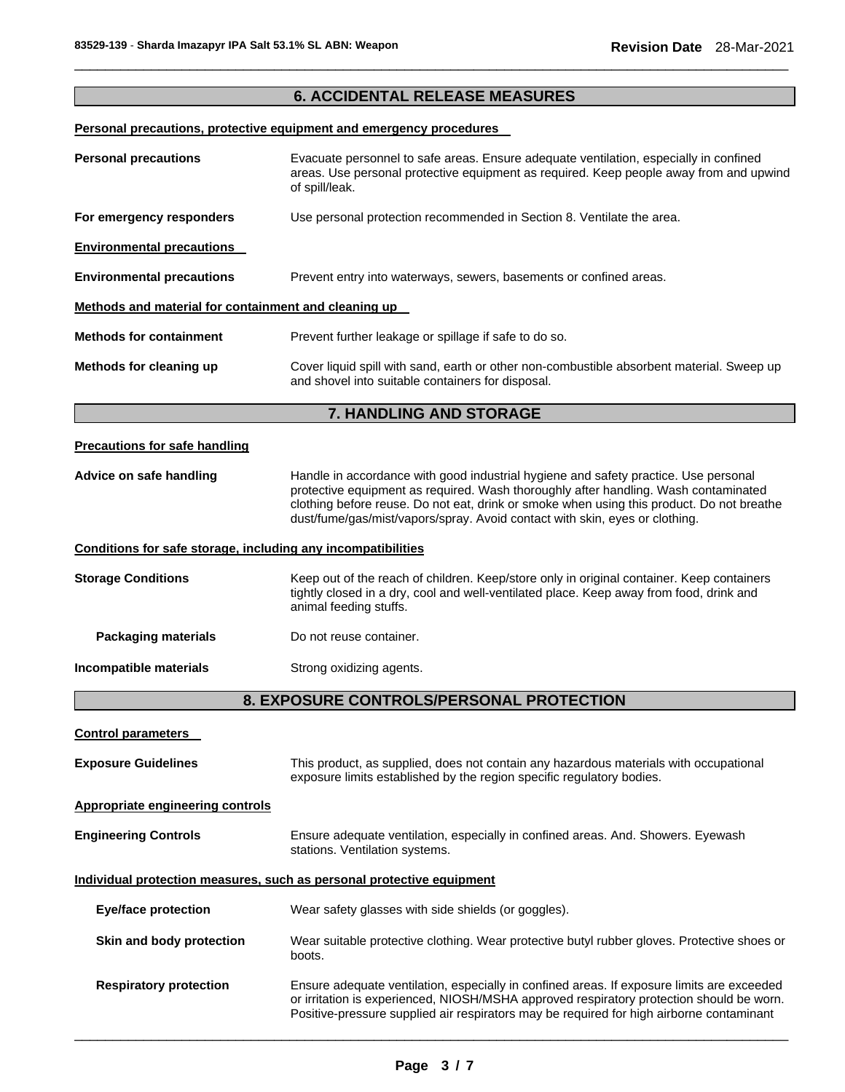# **6. ACCIDENTAL RELEASE MEASURES**

\_\_\_\_\_\_\_\_\_\_\_\_\_\_\_\_\_\_\_\_\_\_\_\_\_\_\_\_\_\_\_\_\_\_\_\_\_\_\_\_\_\_\_\_\_\_\_\_\_\_\_\_\_\_\_\_\_\_\_\_\_\_\_\_\_\_\_\_\_\_\_\_\_\_\_\_\_\_\_\_\_\_\_\_\_\_\_\_\_\_\_\_\_

# **Personal precautions, protective equipment and emergency procedures**

| <b>Personal precautions</b>                                  | Evacuate personnel to safe areas. Ensure adequate ventilation, especially in confined<br>areas. Use personal protective equipment as required. Keep people away from and upwind<br>of spill/leak.                                                                                                                                                      |  |  |
|--------------------------------------------------------------|--------------------------------------------------------------------------------------------------------------------------------------------------------------------------------------------------------------------------------------------------------------------------------------------------------------------------------------------------------|--|--|
| For emergency responders                                     | Use personal protection recommended in Section 8. Ventilate the area.                                                                                                                                                                                                                                                                                  |  |  |
| <b>Environmental precautions</b>                             |                                                                                                                                                                                                                                                                                                                                                        |  |  |
| <b>Environmental precautions</b>                             | Prevent entry into waterways, sewers, basements or confined areas.                                                                                                                                                                                                                                                                                     |  |  |
| Methods and material for containment and cleaning up         |                                                                                                                                                                                                                                                                                                                                                        |  |  |
| <b>Methods for containment</b>                               | Prevent further leakage or spillage if safe to do so.                                                                                                                                                                                                                                                                                                  |  |  |
| Methods for cleaning up                                      | Cover liquid spill with sand, earth or other non-combustible absorbent material. Sweep up<br>and shovel into suitable containers for disposal.                                                                                                                                                                                                         |  |  |
|                                                              | 7. HANDLING AND STORAGE                                                                                                                                                                                                                                                                                                                                |  |  |
| <b>Precautions for safe handling</b>                         |                                                                                                                                                                                                                                                                                                                                                        |  |  |
| Advice on safe handling                                      | Handle in accordance with good industrial hygiene and safety practice. Use personal<br>protective equipment as required. Wash thoroughly after handling. Wash contaminated<br>clothing before reuse. Do not eat, drink or smoke when using this product. Do not breathe<br>dust/fume/gas/mist/vapors/spray. Avoid contact with skin, eyes or clothing. |  |  |
| Conditions for safe storage, including any incompatibilities |                                                                                                                                                                                                                                                                                                                                                        |  |  |
| <b>Storage Conditions</b>                                    | Keep out of the reach of children. Keep/store only in original container. Keep containers<br>tightly closed in a dry, cool and well-ventilated place. Keep away from food, drink and<br>animal feeding stuffs.                                                                                                                                         |  |  |
| <b>Packaging materials</b>                                   | Do not reuse container.                                                                                                                                                                                                                                                                                                                                |  |  |
| Incompatible materials                                       | Strong oxidizing agents.                                                                                                                                                                                                                                                                                                                               |  |  |
|                                                              | 8. EXPOSURE CONTROLS/PERSONAL PROTECTION                                                                                                                                                                                                                                                                                                               |  |  |
| <b>Control parameters</b>                                    |                                                                                                                                                                                                                                                                                                                                                        |  |  |
| <b>Exposure Guidelines</b>                                   | This product, as supplied, does not contain any hazardous materials with occupational<br>exposure limits established by the region specific regulatory bodies.                                                                                                                                                                                         |  |  |
| <b>Appropriate engineering controls</b>                      |                                                                                                                                                                                                                                                                                                                                                        |  |  |
| <b>Engineering Controls</b>                                  | Ensure adequate ventilation, especially in confined areas. And. Showers. Eyewash<br>stations. Ventilation systems.                                                                                                                                                                                                                                     |  |  |
|                                                              | Individual protection measures, such as personal protective equipment                                                                                                                                                                                                                                                                                  |  |  |
| <b>Eye/face protection</b>                                   | Wear safety glasses with side shields (or goggles).                                                                                                                                                                                                                                                                                                    |  |  |
| Skin and body protection                                     | Wear suitable protective clothing. Wear protective butyl rubber gloves. Protective shoes or<br>boots.                                                                                                                                                                                                                                                  |  |  |
| <b>Respiratory protection</b>                                | Ensure adequate ventilation, especially in confined areas. If exposure limits are exceeded<br>or irritation is experienced, NIOSH/MSHA approved respiratory protection should be worn.                                                                                                                                                                 |  |  |

 $\Box$ 

Positive-pressure supplied air respirators may be required for high airborne contaminant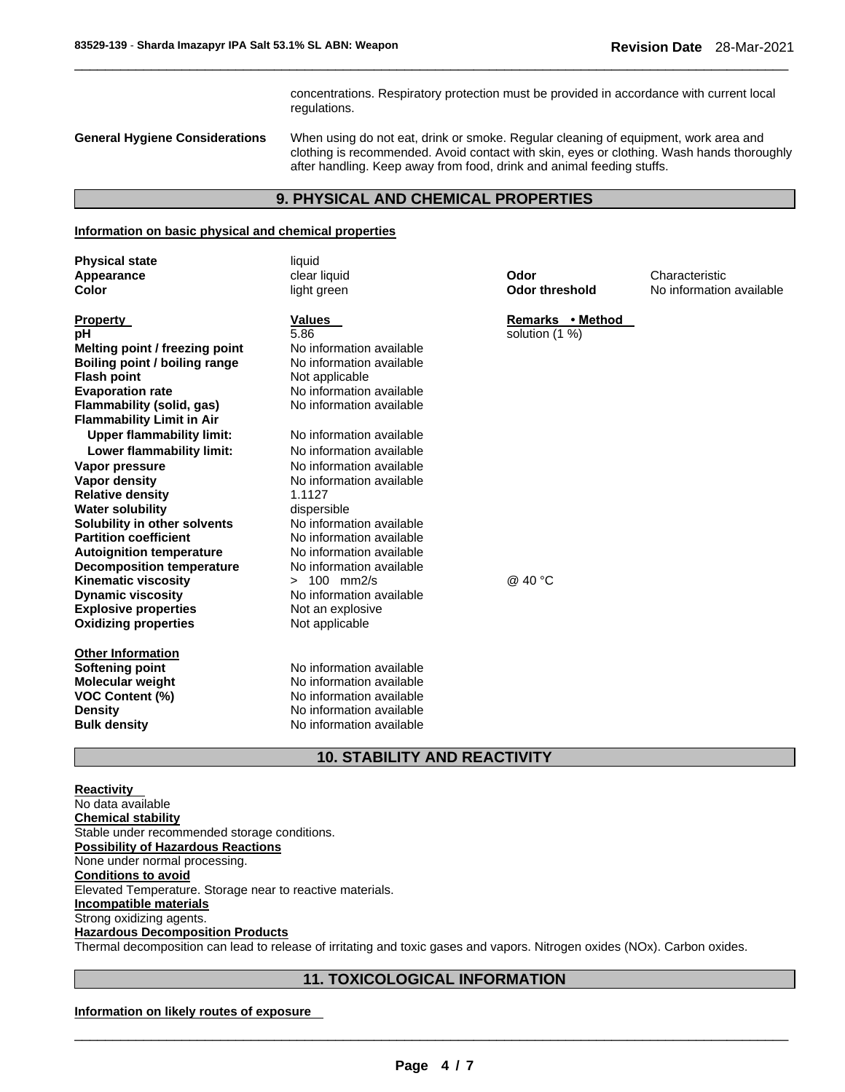concentrations. Respiratory protection must be provided in accordance with current local regulations.

**General Hygiene Considerations** When using do not eat, drink or smoke. Regular cleaning of equipment, work area and clothing is recommended. Avoid contact with skin, eyes or clothing. Wash hands thoroughly after handling. Keep away from food, drink and animal feeding stuffs.

# **9. PHYSICAL AND CHEMICAL PROPERTIES**

\_\_\_\_\_\_\_\_\_\_\_\_\_\_\_\_\_\_\_\_\_\_\_\_\_\_\_\_\_\_\_\_\_\_\_\_\_\_\_\_\_\_\_\_\_\_\_\_\_\_\_\_\_\_\_\_\_\_\_\_\_\_\_\_\_\_\_\_\_\_\_\_\_\_\_\_\_\_\_\_\_\_\_\_\_\_\_\_\_\_\_\_\_

#### **Information on basic physical and chemical properties**

| <b>Physical state</b><br>Appearance<br>Color                                                                                                                                                                                                                                                                                                                                                                   | liquid<br>clear liquid<br>light green                                                                                                                                                                                                                                                                                                    | Odor<br><b>Odor threshold</b>      | Characteristic<br>No information available |
|----------------------------------------------------------------------------------------------------------------------------------------------------------------------------------------------------------------------------------------------------------------------------------------------------------------------------------------------------------------------------------------------------------------|------------------------------------------------------------------------------------------------------------------------------------------------------------------------------------------------------------------------------------------------------------------------------------------------------------------------------------------|------------------------------------|--------------------------------------------|
| <u>Property</u><br>pН<br>Melting point / freezing point<br>Boiling point / boiling range<br>Flash point<br><b>Evaporation rate</b><br>Flammability (solid, gas)<br><b>Flammability Limit in Air</b>                                                                                                                                                                                                            | Values<br>5.86<br>No information available<br>No information available<br>Not applicable<br>No information available<br>No information available                                                                                                                                                                                         | Remarks • Method<br>solution (1 %) |                                            |
| <b>Upper flammability limit:</b><br>Lower flammability limit:<br>Vapor pressure<br>Vapor densitv<br><b>Relative density</b><br>Water solubility<br>Solubility in other solvents<br><b>Partition coefficient</b><br><b>Autoignition temperature</b><br><b>Decomposition temperature</b><br><b>Kinematic viscosity</b><br><b>Dynamic viscosity</b><br><b>Explosive properties</b><br><b>Oxidizing properties</b> | No information available<br>No information available<br>No information available<br>No information available<br>1.1127<br>dispersible<br>No information available<br>No information available<br>No information available<br>No information available<br>$> 100$ mm2/s<br>No information available<br>Not an explosive<br>Not applicable | @ 40 °C                            |                                            |
| <b>Other Information</b><br><b>Softening point</b><br>Molecular weight<br><b>VOC Content (%)</b><br>Density<br><b>Bulk density</b>                                                                                                                                                                                                                                                                             | No information available<br>No information available<br>No information available<br>No information available<br>No information available                                                                                                                                                                                                 |                                    |                                            |

# **10. STABILITY AND REACTIVITY**

**Reactivity**  No data available **Chemical stability** Stable under recommended storage conditions. **Possibility of Hazardous Reactions** None under normal processing. **Conditions to avoid** Elevated Temperature. Storage near to reactive materials. **Incompatible materials** Strong oxidizing agents. **Hazardous Decomposition Products** Thermal decomposition can lead to release of irritating and toxic gases and vapors. Nitrogen oxides (NOx). Carbon oxides.

# **11. TOXICOLOGICAL INFORMATION**

**Information on likely routes of exposure**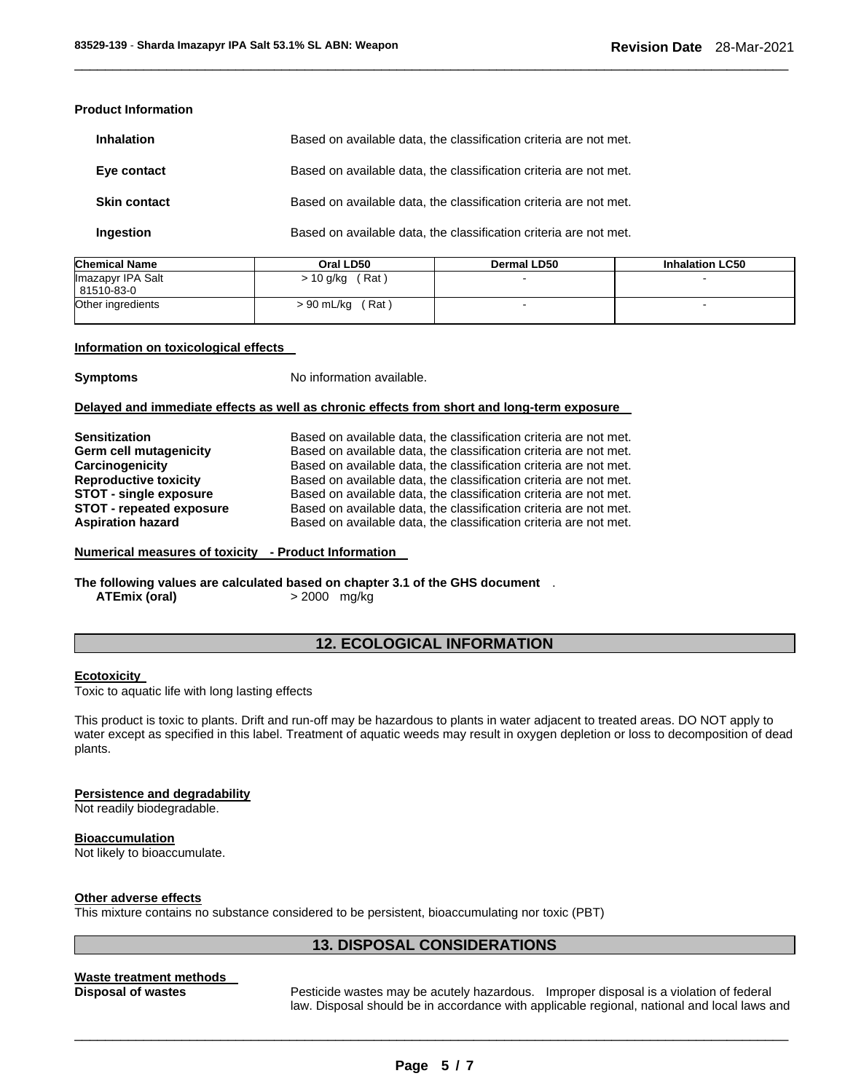# **Product Information**

| <b>Inhalation</b>   | Based on available data, the classification criteria are not met. |
|---------------------|-------------------------------------------------------------------|
| Eye contact         | Based on available data, the classification criteria are not met. |
| <b>Skin contact</b> | Based on available data, the classification criteria are not met. |
| <b>Ingestion</b>    | Based on available data, the classification criteria are not met. |

| <b>Chemical Name</b>            | Oral LD50           | <b>Dermal LD50</b> | <b>Inhalation LC50</b> |
|---------------------------------|---------------------|--------------------|------------------------|
| Imazapyr IPA Salt<br>81510-83-0 | $> 10$ g/kg (Rat)   |                    |                        |
| Other ingredients               | > 90 mL/kg<br>(Rat) |                    |                        |

\_\_\_\_\_\_\_\_\_\_\_\_\_\_\_\_\_\_\_\_\_\_\_\_\_\_\_\_\_\_\_\_\_\_\_\_\_\_\_\_\_\_\_\_\_\_\_\_\_\_\_\_\_\_\_\_\_\_\_\_\_\_\_\_\_\_\_\_\_\_\_\_\_\_\_\_\_\_\_\_\_\_\_\_\_\_\_\_\_\_\_\_\_

## **Information on toxicological effects**

**Symptoms** No information available.

## **Delayed and immediate effects as well as chronic effects from short and long-term exposure**

| <b>Sensitization</b>            | Based on available data, the classification criteria are not met. |
|---------------------------------|-------------------------------------------------------------------|
| Germ cell mutagenicity          | Based on available data, the classification criteria are not met. |
| Carcinogenicity                 | Based on available data, the classification criteria are not met. |
| <b>Reproductive toxicity</b>    | Based on available data, the classification criteria are not met. |
| STOT - single exposure          | Based on available data, the classification criteria are not met. |
| <b>STOT - repeated exposure</b> | Based on available data, the classification criteria are not met. |
| <b>Aspiration hazard</b>        | Based on available data, the classification criteria are not met. |

## **Numerical measures of toxicity - Product Information**

# **The following values are calculated based on chapter 3.1 of the GHS document** . **ATEmix (oral)** > 2000 mg/kg

# **12. ECOLOGICAL INFORMATION**

## **Ecotoxicity**

Toxic to aquatic life with long lasting effects

This product is toxic to plants. Drift and run-off may be hazardous to plants in water adjacent to treated areas. DO NOT apply to water except as specified in this label. Treatment of aquatic weeds may result in oxygen depletion or loss to decomposition of dead plants.

# **Persistence and degradability**

Not readily biodegradable.

# **Bioaccumulation**

Not likely to bioaccumulate.

# **Other adverse effects**

This mixture contains no substance considered to be persistent, bioaccumulating nor toxic (PBT)

# **13. DISPOSAL CONSIDERATIONS**

# **Waste treatment methods**

**Disposal of wastes** Pesticide wastes may be acutely hazardous. Improper disposal is a violation of federal law. Disposal should be in accordance with applicable regional, national and local laws and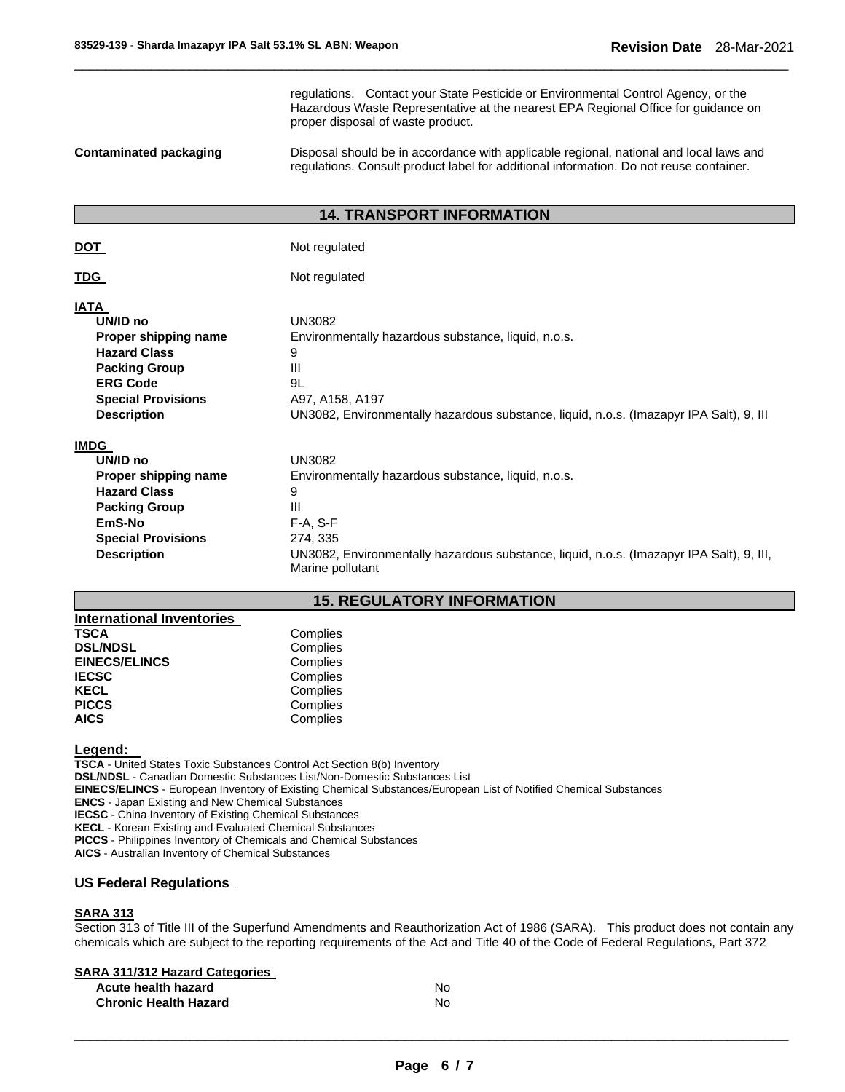regulations. Contact your State Pesticide or Environmental Control Agency, or the Hazardous Waste Representative at the nearest EPA Regional Office for guidance on proper disposal of waste product.

**Contaminated packaging** Disposal should be in accordance with applicable regional, national and local laws and regulations. Consult product label for additional information. Do not reuse container.

# **14. TRANSPORT INFORMATION**

\_\_\_\_\_\_\_\_\_\_\_\_\_\_\_\_\_\_\_\_\_\_\_\_\_\_\_\_\_\_\_\_\_\_\_\_\_\_\_\_\_\_\_\_\_\_\_\_\_\_\_\_\_\_\_\_\_\_\_\_\_\_\_\_\_\_\_\_\_\_\_\_\_\_\_\_\_\_\_\_\_\_\_\_\_\_\_\_\_\_\_\_\_

| Not regulated                                                                                                                                                                                                            |
|--------------------------------------------------------------------------------------------------------------------------------------------------------------------------------------------------------------------------|
| Not regulated                                                                                                                                                                                                            |
| <b>UN3082</b><br>Environmentally hazardous substance, liquid, n.o.s.<br>9<br>Ш<br>9L<br>A97, A158, A197<br>UN3082, Environmentally hazardous substance, liquid, n.o.s. (Imazapyr IPA Salt), 9, III                       |
| <b>UN3082</b><br>Environmentally hazardous substance, liquid, n.o.s.<br>9<br>Ш<br>$F-A, S-F$<br>274, 335<br>UN3082, Environmentally hazardous substance, liquid, n.o.s. (Imazapyr IPA Salt), 9, III,<br>Marine pollutant |
|                                                                                                                                                                                                                          |

# **15. REGULATORY INFORMATION**

| <b>International Inventories</b> |          |
|----------------------------------|----------|
| <b>TSCA</b>                      | Complies |
| <b>DSL/NDSL</b>                  | Complies |
| <b>EINECS/ELINCS</b>             | Complies |
| <b>IECSC</b>                     | Complies |
| <b>KECL</b>                      | Complies |
| <b>PICCS</b>                     | Complies |
| <b>AICS</b>                      | Complies |

# **Legend:**

**TSCA** - United States Toxic Substances Control Act Section 8(b) Inventory **DSL/NDSL** - Canadian Domestic Substances List/Non-Domestic Substances List **EINECS/ELINCS** - European Inventory of Existing Chemical Substances/European List of Notified Chemical Substances **ENCS** - Japan Existing and New Chemical Substances **IECSC** - China Inventory of Existing Chemical Substances **KECL** - Korean Existing and Evaluated Chemical Substances **PICCS** - Philippines Inventory of Chemicals and Chemical Substances **AICS** - Australian Inventory of Chemical Substances

## **US Federal Regulations**

## **SARA 313**

Section 313 of Title III of the Superfund Amendments and Reauthorization Act of 1986 (SARA). This product does not contain any chemicals which are subject to the reporting requirements of the Act and Title 40 of the Code of Federal Regulations, Part 372

| <b>SARA 311/312 Hazard Categories</b> |    |
|---------------------------------------|----|
| Acute health hazard                   | No |
| <b>Chronic Health Hazard</b>          | No |